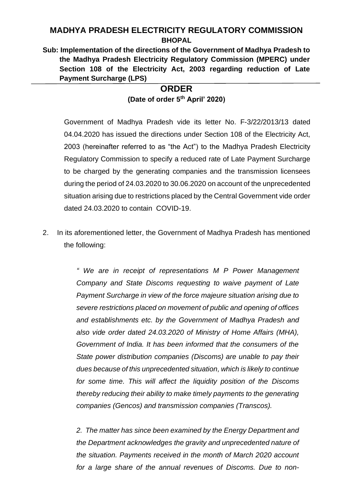# **MADHYA PRADESH ELECTRICITY REGULATORY COMMISSION BHOPAL**

**Sub: Implementation of the directions of the Government of Madhya Pradesh to the Madhya Pradesh Electricity Regulatory Commission (MPERC) under Section 108 of the Electricity Act, 2003 regarding reduction of Late Payment Surcharge (LPS)** 

## **ORDER (Date of order 5 th April' 2020)**

Government of Madhya Pradesh vide its letter No. F-3/22/2013/13 dated 04.04.2020 has issued the directions under Section 108 of the Electricity Act, 2003 (hereinafter referred to as "the Act") to the Madhya Pradesh Electricity Regulatory Commission to specify a reduced rate of Late Payment Surcharge to be charged by the generating companies and the transmission licensees during the period of 24.03.2020 to 30.06.2020 on account of the unprecedented situation arising due to restrictions placed by the Central Government vide order dated 24.03.2020 to contain COVID-19.

2. In its aforementioned letter, the Government of Madhya Pradesh has mentioned the following:

> *" We are in receipt of representations M P Power Management Company and State Discoms requesting to waive payment of Late Payment Surcharge in view of the force majeure situation arising due to severe restrictions placed on movement of public and opening of offices and establishments etc. by the Government of Madhya Pradesh and also vide order dated 24.03.2020 of Ministry of Home Affairs (MHA), Government of India. It has been informed that the consumers of the State power distribution companies (Discoms) are unable to pay their dues because of this unprecedented situation, which is likely to continue for some time. This will affect the liquidity position of the Discoms thereby reducing their ability to make timely payments to the generating companies (Gencos) and transmission companies (Transcos).*

> *2. The matter has since been examined by the Energy Department and the Department acknowledges the gravity and unprecedented nature of the situation. Payments received in the month of March 2020 account for a large share of the annual revenues of Discoms. Due to non-*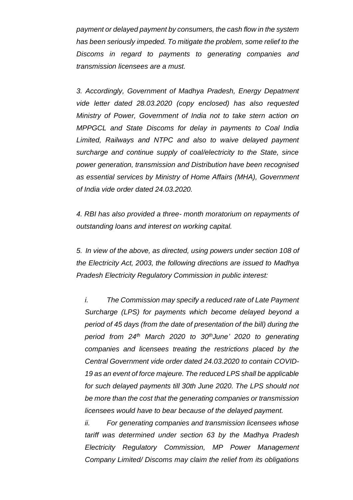*payment or delayed payment by consumers, the cash flow in the system has been seriously impeded. To mitigate the problem, some relief to the Discoms in regard to payments to generating companies and transmission licensees are a must.*

*3. Accordingly, Government of Madhya Pradesh, Energy Depatment vide letter dated 28.03.2020 (copy enclosed) has also requested Ministry of Power, Government of India not to take stern action on MPPGCL and State Discoms for delay in payments to Coal India Limited, Railways and NTPC and also to waive delayed payment surcharge and continue supply of coal/electricity to the State, since power generation, transmission and Distribution have been recognised as essential services by Ministry of Home Affairs (MHA), Government of India vide order dated 24.03.2020.*

*4. RBI has also provided a three- month moratorium on repayments of outstanding loans and interest on working capital.*

*5. In view of the above, as directed, using powers under section 108 of the Electricity Act, 2003, the following directions are issued to Madhya Pradesh Electricity Regulatory Commission in public interest:*

*i. The Commission may specify a reduced rate of Late Payment Surcharge (LPS) for payments which become delayed beyond a period of 45 days (from the date of presentation of the bill) during the period from 24th March 2020 to 30thJune' 2020 to generating companies and licensees treating the restrictions placed by the Central Government vide order dated 24.03.2020 to contain COVID-19 as an event of force majeure. The reduced LPS shall be applicable for such delayed payments till 30th June 2020. The LPS should not be more than the cost that the generating companies or transmission licensees would have to bear because of the delayed payment.* 

*ii. For generating companies and transmission licensees whose tariff was determined under section 63 by the Madhya Pradesh Electricity Regulatory Commission, MP Power Management Company Limited/ Discoms may claim the relief from its obligations*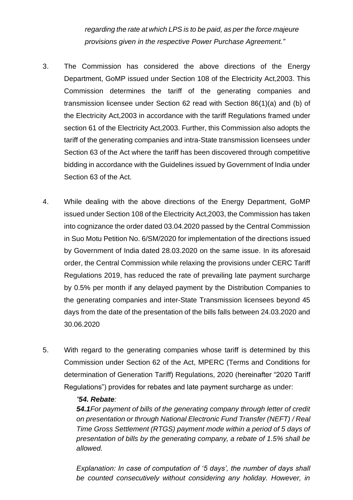*regarding the rate at which LPS is to be paid, as per the force majeure provisions given in the respective Power Purchase Agreement."*

- 3. The Commission has considered the above directions of the Energy Department, GoMP issued under Section 108 of the Electricity Act,2003. This Commission determines the tariff of the generating companies and transmission licensee under Section 62 read with Section 86(1)(a) and (b) of the Electricity Act,2003 in accordance with the tariff Regulations framed under section 61 of the Electricity Act,2003. Further, this Commission also adopts the tariff of the generating companies and intra-State transmission licensees under Section 63 of the Act where the tariff has been discovered through competitive bidding in accordance with the Guidelines issued by Government of India under Section 63 of the Act.
- 4. While dealing with the above directions of the Energy Department, GoMP issued under Section 108 of the Electricity Act,2003, the Commission has taken into cognizance the order dated 03.04.2020 passed by the Central Commission in Suo Motu Petition No. 6/SM/2020 for implementation of the directions issued by Government of India dated 28.03.2020 on the same issue. In its aforesaid order, the Central Commission while relaxing the provisions under CERC Tariff Regulations 2019, has reduced the rate of prevailing late payment surcharge by 0.5% per month if any delayed payment by the Distribution Companies to the generating companies and inter-State Transmission licensees beyond 45 days from the date of the presentation of the bills falls between 24.03.2020 and 30.06.2020
- 5. With regard to the generating companies whose tariff is determined by this Commission under Section 62 of the Act, MPERC (Terms and Conditions for determination of Generation Tariff) Regulations, 2020 (hereinafter "2020 Tariff Regulations") provides for rebates and late payment surcharge as under:

#### *"54. Rebate:*

*54.1For payment of bills of the generating company through letter of credit on presentation or through National Electronic Fund Transfer (NEFT) / Real Time Gross Settlement (RTGS) payment mode within a period of 5 days of presentation of bills by the generating company, a rebate of 1.5% shall be allowed.* 

*Explanation: In case of computation of '5 days', the number of days shall be counted consecutively without considering any holiday. However, in*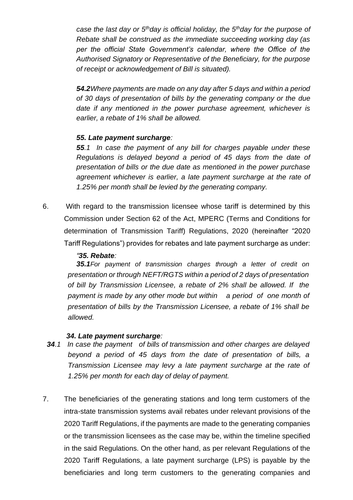*case the last day or 5thday is official holiday, the 5thday for the purpose of Rebate shall be construed as the immediate succeeding working day (as per the official State Government's calendar, where the Office of the Authorised Signatory or Representative of the Beneficiary, for the purpose of receipt or acknowledgement of Bill is situated).* 

*54.2Where payments are made on any day after 5 days and within a period of 30 days of presentation of bills by the generating company or the due date if any mentioned in the power purchase agreement, whichever is earlier, a rebate of 1% shall be allowed.* 

#### *55. Late payment surcharge:*

*55.1 In case the payment of any bill for charges payable under these Regulations is delayed beyond a period of 45 days from the date of presentation of bills or the due date as mentioned in the power purchase agreement whichever is earlier, a late payment surcharge at the rate of 1.25% per month shall be levied by the generating company.*

6. With regard to the transmission licensee whose tariff is determined by this Commission under Section 62 of the Act, MPERC (Terms and Conditions for determination of Transmission Tariff) Regulations, 2020 (hereinafter "2020 Tariff Regulations") provides for rebates and late payment surcharge as under:

### *"35. Rebate:*

*35.1For payment of transmission charges through a letter of credit on presentation or through NEFT/RGTS within a period of 2 days of presentation of bill by Transmission Licensee, a rebate of 2% shall be allowed. If the payment is made by any other mode but within a period of one month of presentation of bills by the Transmission Licensee, a rebate of 1% shall be allowed.*

### *34. Late payment surcharge:*

- *34.1 In case the payment of bills of transmission and other charges are delayed beyond a period of 45 days from the date of presentation of bills, a Transmission Licensee may levy a late payment surcharge at the rate of 1.25% per month for each day of delay of payment.*
- 7. The beneficiaries of the generating stations and long term customers of the intra-state transmission systems avail rebates under relevant provisions of the 2020 Tariff Regulations, if the payments are made to the generating companies or the transmission licensees as the case may be, within the timeline specified in the said Regulations. On the other hand, as per relevant Regulations of the 2020 Tariff Regulations, a late payment surcharge (LPS) is payable by the beneficiaries and long term customers to the generating companies and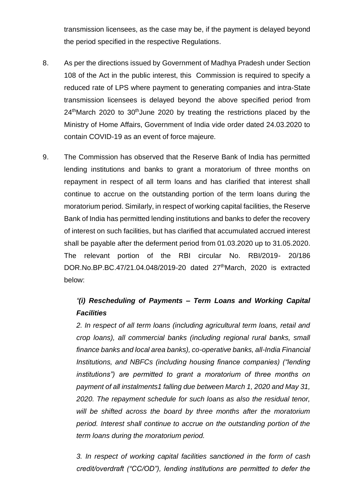transmission licensees, as the case may be, if the payment is delayed beyond the period specified in the respective Regulations.

- 8. As per the directions issued by Government of Madhya Pradesh under Section 108 of the Act in the public interest, this Commission is required to specify a reduced rate of LPS where payment to generating companies and intra-State transmission licensees is delayed beyond the above specified period from  $24<sup>th</sup>$ March 2020 to 30<sup>th</sup>June 2020 by treating the restrictions placed by the Ministry of Home Affairs, Government of India vide order dated 24.03.2020 to contain COVID-19 as an event of force majeure.
- 9. The Commission has observed that the Reserve Bank of India has permitted lending institutions and banks to grant a moratorium of three months on repayment in respect of all term loans and has clarified that interest shall continue to accrue on the outstanding portion of the term loans during the moratorium period. Similarly, in respect of working capital facilities, the Reserve Bank of India has permitted lending institutions and banks to defer the recovery of interest on such facilities, but has clarified that accumulated accrued interest shall be payable after the deferment period from 01.03.2020 up to 31.05.2020. The relevant portion of the RBI circular No. RBI/2019- 20/186 DOR.No.BP.BC.47/21.04.048/2019-20 dated 27<sup>th</sup>March, 2020 is extracted below:

# *"(i) Rescheduling of Payments – Term Loans and Working Capital Facilities*

*2. In respect of all term loans (including agricultural term loans, retail and crop loans), all commercial banks (including regional rural banks, small finance banks and local area banks), co-operative banks, all-India Financial Institutions, and NBFCs (including housing finance companies) ("lending institutions") are permitted to grant a moratorium of three months on payment of all instalments1 falling due between March 1, 2020 and May 31, 2020. The repayment schedule for such loans as also the residual tenor, will be shifted across the board by three months after the moratorium period. Interest shall continue to accrue on the outstanding portion of the term loans during the moratorium period.* 

*3. In respect of working capital facilities sanctioned in the form of cash credit/overdraft ("CC/OD"), lending institutions are permitted to defer the*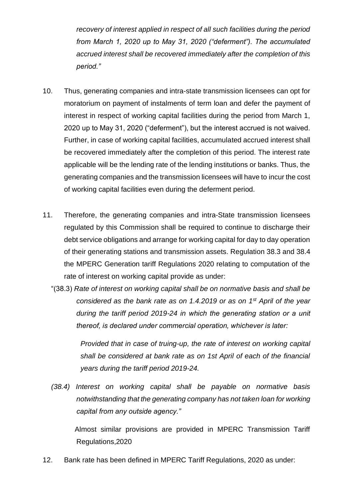*recovery of interest applied in respect of all such facilities during the period from March 1, 2020 up to May 31, 2020 ("deferment"). The accumulated accrued interest shall be recovered immediately after the completion of this period."* 

- 10. Thus, generating companies and intra-state transmission licensees can opt for moratorium on payment of instalments of term loan and defer the payment of interest in respect of working capital facilities during the period from March 1, 2020 up to May 31, 2020 ("deferment"), but the interest accrued is not waived. Further, in case of working capital facilities, accumulated accrued interest shall be recovered immediately after the completion of this period. The interest rate applicable will be the lending rate of the lending institutions or banks. Thus, the generating companies and the transmission licensees will have to incur the cost of working capital facilities even during the deferment period.
- 11. Therefore, the generating companies and intra-State transmission licensees regulated by this Commission shall be required to continue to discharge their debt service obligations and arrange for working capital for day to day operation of their generating stations and transmission assets. Regulation 38.3 and 38.4 the MPERC Generation tariff Regulations 2020 relating to computation of the rate of interest on working capital provide as under:
	- "(38.3) *Rate of interest on working capital shall be on normative basis and shall be considered as the bank rate as on 1.4.2019 or as on 1st April of the year during the tariff period 2019-24 in which the generating station or a unit thereof, is declared under commercial operation, whichever is later:*

*Provided that in case of truing-up, the rate of interest on working capital shall be considered at bank rate as on 1st April of each of the financial years during the tariff period 2019-24.* 

*(38.4) Interest on working capital shall be payable on normative basis notwithstanding that the generating company has not taken loan for working capital from any outside agency."* 

 Almost similar provisions are provided in MPERC Transmission Tariff Regulations,2020

12. Bank rate has been defined in MPERC Tariff Regulations, 2020 as under: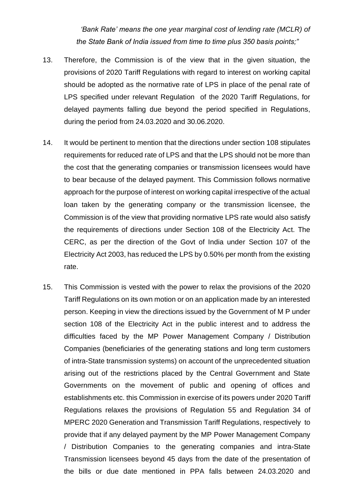*'Bank Rate' means the one year marginal cost of lending rate (MCLR) of the State Bank of India issued from time to time plus 350 basis points;"*

- 13. Therefore, the Commission is of the view that in the given situation, the provisions of 2020 Tariff Regulations with regard to interest on working capital should be adopted as the normative rate of LPS in place of the penal rate of LPS specified under relevant Regulation of the 2020 Tariff Regulations, for delayed payments falling due beyond the period specified in Regulations, during the period from 24.03.2020 and 30.06.2020.
- 14. It would be pertinent to mention that the directions under section 108 stipulates requirements for reduced rate of LPS and that the LPS should not be more than the cost that the generating companies or transmission licensees would have to bear because of the delayed payment. This Commission follows normative approach for the purpose of interest on working capital irrespective of the actual loan taken by the generating company or the transmission licensee, the Commission is of the view that providing normative LPS rate would also satisfy the requirements of directions under Section 108 of the Electricity Act. The CERC, as per the direction of the Govt of India under Section 107 of the Electricity Act 2003, has reduced the LPS by 0.50% per month from the existing rate.
- 15. This Commission is vested with the power to relax the provisions of the 2020 Tariff Regulations on its own motion or on an application made by an interested person. Keeping in view the directions issued by the Government of M P under section 108 of the Electricity Act in the public interest and to address the difficulties faced by the MP Power Management Company / Distribution Companies (beneficiaries of the generating stations and long term customers of intra-State transmission systems) on account of the unprecedented situation arising out of the restrictions placed by the Central Government and State Governments on the movement of public and opening of offices and establishments etc. this Commission in exercise of its powers under 2020 Tariff Regulations relaxes the provisions of Regulation 55 and Regulation 34 of MPERC 2020 Generation and Transmission Tariff Regulations, respectively to provide that if any delayed payment by the MP Power Management Company / Distribution Companies to the generating companies and intra-State Transmission licensees beyond 45 days from the date of the presentation of the bills or due date mentioned in PPA falls between 24.03.2020 and